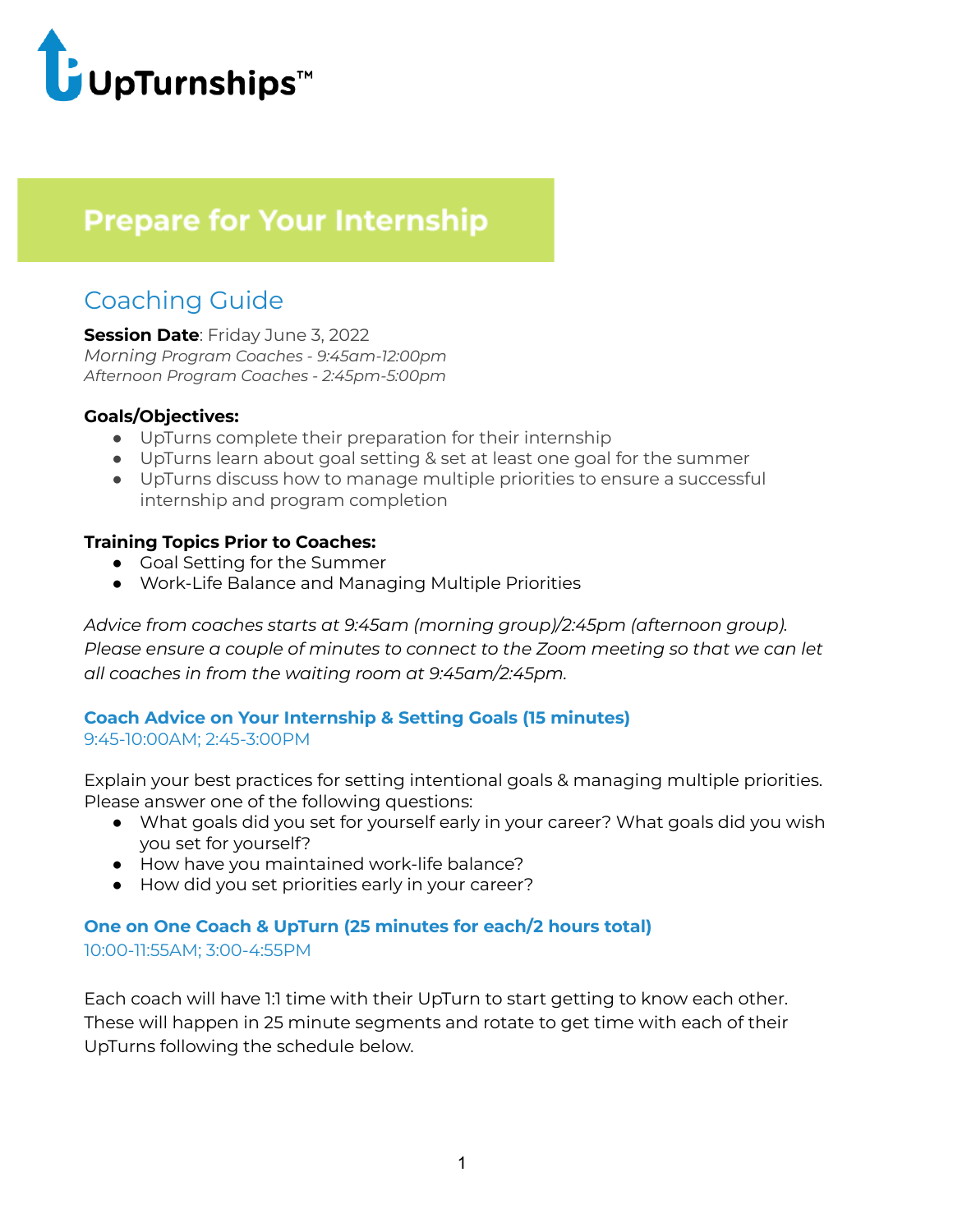

# **Prepare for Your Internship**

## Coaching Guide

**Session Date**: Friday June 3, 2022 *Morning Program Coaches - 9:45am-12:00pm Afternoon Program Coaches - 2:45pm-5:00pm*

#### **Goals/Objectives:**

- UpTurns complete their preparation for their internship
- UpTurns learn about goal setting & set at least one goal for the summer
- UpTurns discuss how to manage multiple priorities to ensure a successful internship and program completion

#### **Training Topics Prior to Coaches:**

- Goal Setting for the Summer
- Work-Life Balance and Managing Multiple Priorities

*Advice from coaches starts at 9:45am (morning group)/2:45pm (afternoon group). Please ensure a couple of minutes to connect to the Zoom meeting so that we can let all coaches in from the waiting room at 9:45am/2:45pm.*

#### **Coach Advice on Your Internship & Setting Goals (15 minutes)** 9:45-10:00AM; 2:45-3:00PM

Explain your best practices for setting intentional goals & managing multiple priorities. Please answer one of the following questions:

- What goals did you set for yourself early in your career? What goals did you wish you set for yourself?
- How have you maintained work-life balance?
- How did you set priorities early in your career?

### **One on One Coach & UpTurn (25 minutes for each/2 hours total)** 10:00-11:55AM; 3:00-4:55PM

Each coach will have 1:1 time with their UpTurn to start getting to know each other. These will happen in 25 minute segments and rotate to get time with each of their UpTurns following the schedule below.